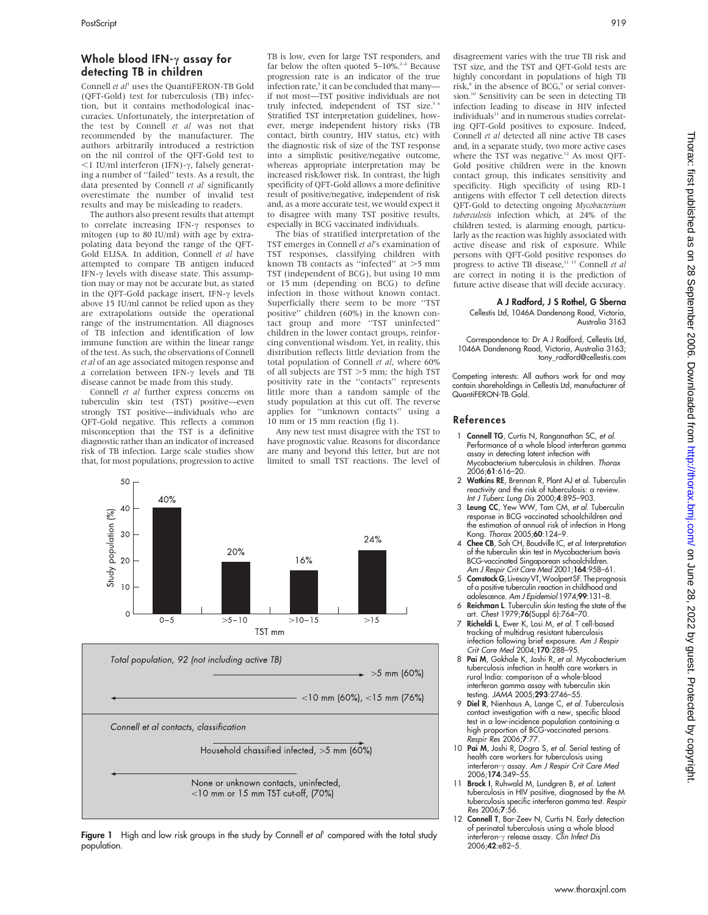# Whole blood IFN- $\gamma$  assay for detecting TB in children

Connell  $et \, al^1$  uses the QuantiFERON-TB Gold (QFT-Gold) test for tuberculosis (TB) infection, but it contains methodological inaccuracies. Unfortunately, the interpretation of the test by Connell et al was not that recommended by the manufacturer. The authors arbitrarily introduced a restriction on the nil control of the QFT-Gold test to  $<$ 1 IU/ml interferon (IFN)- $\gamma$ , falsely generating a number of ''failed'' tests. As a result, the data presented by Connell et al significantly overestimate the number of invalid test results and may be misleading to readers.

The authors also present results that attempt to correlate increasing IFN- $\gamma$  responses to mitogen (up to 80 IU/ml) with age by extrapolating data beyond the range of the QFT-Gold ELISA. In addition, Connell et al have attempted to compare TB antigen induced IFN- $\gamma$  levels with disease state. This assumption may or may not be accurate but, as stated in the OFT-Gold package insert. IFN- $\gamma$  levels above 15 IU/ml cannot be relied upon as they are extrapolations outside the operational range of the instrumentation. All diagnoses of TB infection and identification of low immune function are within the linear range of the test. As such, the observations of Connell et al of an age associated mitogen response and a correlation between IFN- $\gamma$  levels and TB disease cannot be made from this study.

Connell et al further express concerns on tuberculin skin test (TST) positive—even strongly TST positive—individuals who are QFT-Gold negative. This reflects a common misconception that the TST is a definitive diagnostic rather than an indicator of increased risk of TB infection. Large scale studies show that, for most populations, progression to active

50

TB is low, even for large TST responders, and far below the often quoted  $5-10\%$ <sup>2-4</sup> Because progression rate is an indicator of the true infection rate,<sup>5</sup> it can be concluded that many if not most—TST positive individuals are not truly infected, independent of TST size.<sup>5</sup> Stratified TST interpretation guidelines, however, merge independent history risks (TB contact, birth country, HIV status, etc) with the diagnostic risk of size of the TST response into a simplistic positive/negative outcome, whereas appropriate interpretation may be increased risk/lower risk. In contrast, the high specificity of QFT-Gold allows a more definitive result of positive/negative, independent of risk and, as a more accurate test, we would expect it to disagree with many TST positive results, especially in BCG vaccinated individuals.

The bias of stratified interpretation of the TST emerges in Connell et al's examination of TST responses, classifying children with known TB contacts as "infected" at >5 mm TST (independent of BCG), but using 10 mm or 15 mm (depending on BCG) to define infection in those without known contact. Superficially there seem to be more ''TST positive'' children (60%) in the known contact group and more ''TST uninfected'' children in the lower contact groups, reinforcing conventional wisdom. Yet, in reality, this distribution reflects little deviation from the total population of Connell et al, where 60% of all subjects are  $TST > 5$  mm; the high TST positivity rate in the ''contacts'' represents little more than a random sample of the study population at this cut off. The reverse applies for ''unknown contacts'' using a 10 mm or 15 mm reaction (fig 1).

Any new test must disagree with the TST to have prognostic value. Reasons for discordance are many and beyond this letter, but are not limited to small TST reactions. The level of





Figure 1 High and low risk groups in the study by Connell et  $a^{\dagger}$  compared with the total study population.

disagreement varies with the true TB risk and TST size, and the TST and QFT-Gold tests are highly concordant in populations of high TB risk, $8$  in the absence of BCG, $9$  or serial conversion.<sup>10</sup> Sensitivity can be seen in detecting TB infection leading to disease in HIV infected individuals<sup>11</sup> and in numerous studies correlating QFT-Gold positives to exposure. Indeed, Connell et al detected all nine active TB cases and, in a separate study, two more active cases where the TST was negative.<sup>12</sup> As most QFT-Gold positive children were in the known contact group, this indicates sensitivity and specificity. High specificity of using RD-1 antigens with effector T cell detection directs QFT-Gold to detecting ongoing Mycobacterium tuberculosis infection which, at 24% of the children tested, is alarming enough, particularly as the reaction was highly associated with active disease and risk of exposure. While persons with QFT-Gold positive responses do progress to active TB disease,<sup>11 13</sup> Connell et al are correct in noting it is the prediction of future active disease that will decide accuracy.

#### A J Radford, J S Rothel, G Sberna Cellestis Ltd, 1046A Dandenong Road, Victoria, Australia 3163

Correspondence to: Dr A J Radford, Cellestis Ltd, 1046A Dandenong Road, Victoria, Australia 3163; tony\_radford@cellestis.com

Competing interests: All authors work for and may contain shareholdings in Cellestis Ltd, manufacturer of QuantiFERON-TB Gold.

# References

- 1 Connell TG, Curtis N, Ranganathan SC, et al. Performance of a whole blood interferon gamma assay in detecting latent infection with Mycobacterium tuberculosis in children. Thorax 2006;61:616–20.
- 2 Watkins RE, Brennan R, Plant AJ et al. Tuberculin reactivity and the risk of tuberculosis: a review. Int J Tuberc Lung Dis 2000;4:895–903.
- 3 Leung CC, Yew WW, Tam CM, et al. Tuberculin response in BCG vaccinated schoolchildren and the estimation of annual risk of infection in Hong Kong. Thorax 2005;60:124–9.
- 4 Chee CB, Soh CH, Boudville IC, et al. Interpretation of the tuberculin skin test in Mycobacterium bovis BCG-vaccinated Singaporean schoolchildren. Am J Respir Crit Care Med 2001;164:958–61.
- 5 Comstock G, Livesay VT, Woolpert SF. The prognosis of a positive tuberculin reaction in childhood and adolescence. Am J Epidemiol 1974;99:131–8.
- 6 Reichman L. Tuberculin skin testing the state of the art. Chest 1979;76(Suppl 6):764–70.
- 7 Richeldi L, Ewer K, Losi M, et al. T cell-based tracking of multidrug resistant tuberculosis infection following brief exposure. Am J Respir Crit Care Med 2004;170:288-95.
- 8 Pai M, Gokhale K, Joshi R, et al. Mycobacterium tuberculosis infection in health care workers in rural India: comparison of a whole-blood interferon gamma assay with tuberculin skin testing. JAMA 2005;293:2746-55.
- 9 Diel R, Nienhaus A, Lange C, et al. Tuberculosis contact investigation with a new, specific blood test in a low-incidence population containing a high proportion of BCG-vaccinated persons. Respir Res 2006;7:77.
- 10 Pai M, Joshi R, Dogra S, et al. Serial testing of health care workers for tuberculosis using interferon- $\gamma$  assay. Am J Respir Crit Care Med 2006;174:349–55.
- Brock I, Ruhwald M, Lundgren B, et al. Latent tuberculosis in HIV positive, diagnosed by the M tuberculosis specific interferon gamma test. Respir Res 2006;7:56.
- 12 Connell T, Bar-Zeev N, Curtis N. Early detection of perinatal tuberculosis using a whole blood<br>interferon-γ release assay. *Clin Infect Dis*<br>2006;**42**:e82–5.